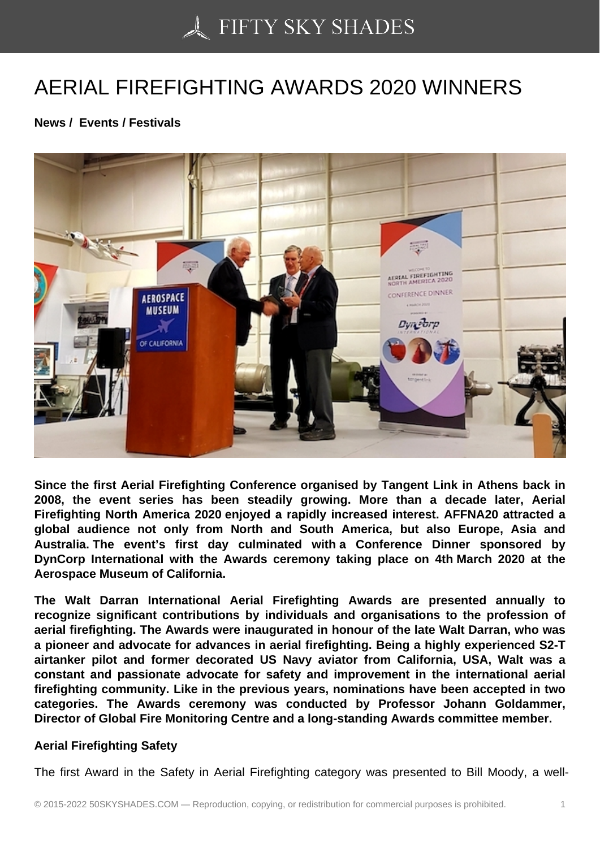## [AERIAL FIREFIGHTIN](https://50skyshades.com)G AWARDS 2020 WINNERS

News / Events / Festivals

Since the first Aerial Firefighting Conference organised by Tangent Link in Athens back in 2008, the event series has been steadily growing. More than a decade later, Aerial Firefighting North America 2020 enjoyed a rapidly increased interest. AFFNA20 attracted a global audience not only from North and South America, but also Europe, Asia and Australia. The event's first day culminated with a Conference Dinner sponsored by DynCorp International with the Awards ceremony taking place on 4th March 2020 at the Aerospace Museum of California.

The Walt Darran International Aerial Firefighting Awards are presented annually to recognize significant contributions by individuals and organisations to the profession of aerial firefighting. The Awards were inaugurated in honour of the late Walt Darran, who was a pioneer and advocate for advances in aerial firefighting. Being a highly experienced S2-T airtanker pilot and former decorated US Navy aviator from California, USA, Walt was a constant and passionate advocate for safety and improvement in the international aerial firefighting community. Like in the previous years, nominations have been accepted in two categories. The Awards ceremony was conducted by Professor Johann Goldammer, Director of Global Fire Monitoring Centre and a long-standing Awards committee member.

## Aerial Firefighting Safety

The first Award in the Safety in Aerial Firefighting category was presented to Bill Moody, a well-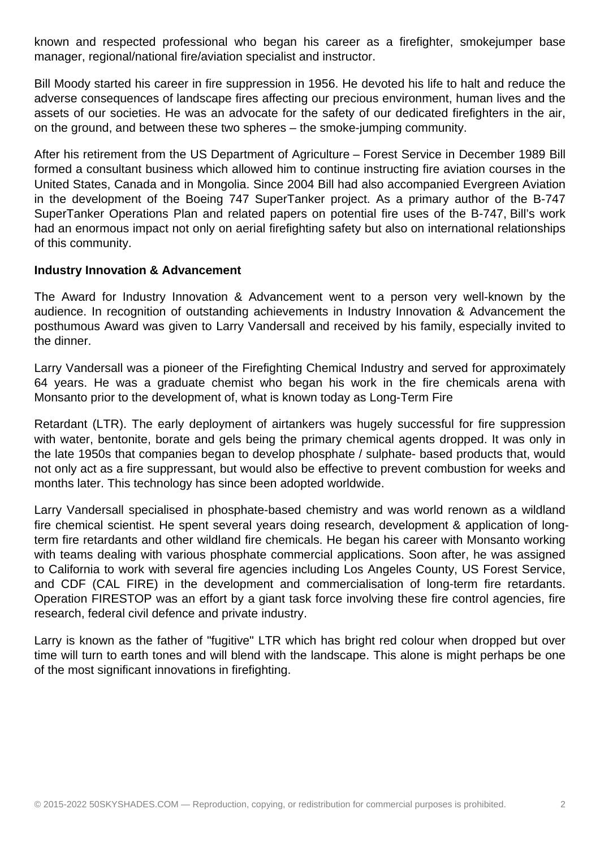known and respected professional who began his career as a firefighter, smokejumper base manager, regional/national fire/aviation specialist and instructor.

Bill Moody started his career in fire suppression in 1956. He devoted his life to halt and reduce the adverse consequences of landscape fires affecting our precious environment, human lives and the assets of our societies. He was an advocate for the safety of our dedicated firefighters in the air, on the ground, and between these two spheres – the smoke-jumping community.

After his retirement from the US Department of Agriculture – Forest Service in December 1989 Bill formed a consultant business which allowed him to continue instructing fire aviation courses in the United States, Canada and in Mongolia. Since 2004 Bill had also accompanied Evergreen Aviation in the development of the Boeing 747 SuperTanker project. As a primary author of the B-747 SuperTanker Operations Plan and related papers on potential fire uses of the B-747, Bill's work had an enormous impact not only on aerial firefighting safety but also on international relationships of this community.

## **Industry Innovation & Advancement**

The Award for Industry Innovation & Advancement went to a person very well-known by the audience. In recognition of outstanding achievements in Industry Innovation & Advancement the posthumous Award was given to Larry Vandersall and received by his family, especially invited to the dinner.

Larry Vandersall was a pioneer of the Firefighting Chemical Industry and served for approximately 64 years. He was a graduate chemist who began his work in the fire chemicals arena with Monsanto prior to the development of, what is known today as Long-Term Fire

Retardant (LTR). The early deployment of airtankers was hugely successful for fire suppression with water, bentonite, borate and gels being the primary chemical agents dropped. It was only in the late 1950s that companies began to develop phosphate / sulphate- based products that, would not only act as a fire suppressant, but would also be effective to prevent combustion for weeks and months later. This technology has since been adopted worldwide.

Larry Vandersall specialised in phosphate-based chemistry and was world renown as a wildland fire chemical scientist. He spent several years doing research, development & application of longterm fire retardants and other wildland fire chemicals. He began his career with Monsanto working with teams dealing with various phosphate commercial applications. Soon after, he was assigned to California to work with several fire agencies including Los Angeles County, US Forest Service, and CDF (CAL FIRE) in the development and commercialisation of long-term fire retardants. Operation FIRESTOP was an effort by a giant task force involving these fire control agencies, fire research, federal civil defence and private industry.

Larry is known as the father of "fugitive" LTR which has bright red colour when dropped but over time will turn to earth tones and will blend with the landscape. This alone is might perhaps be one of the most significant innovations in firefighting.